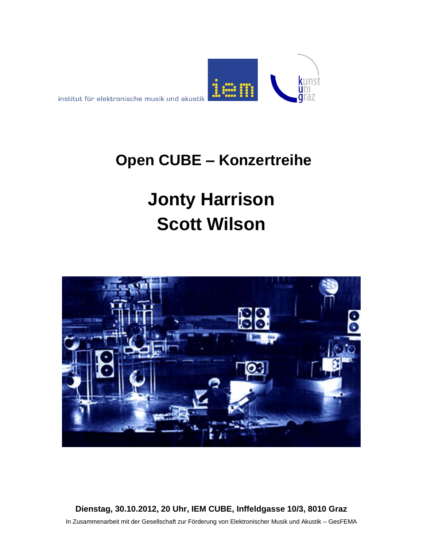

## **Open CUBE – Konzertreihe**

# **Jonty Harrison Scott Wilson**



**Dienstag, 30.10.2012, 20 Uhr, IEM CUBE, Inffeldgasse 10/3, 8010 Graz** In Zusammenarbeit mit der Gesellschaft zur Förderung von Elektronischer Musik und Akustik – GesFEMA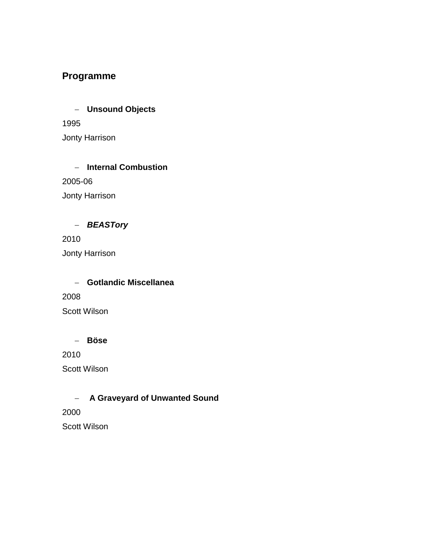#### **Programme**

 **Unsound Objects** 1995 Jonty Harrison

 **Internal Combustion** 2005-06 Jonty Harrison

#### *BEASTory*

2010 Jonty Harrison

 **Gotlandic Miscellanea** 2008 Scott Wilson

#### **Böse**

2010

Scott Wilson

#### **A Graveyard of Unwanted Sound**

2000 Scott Wilson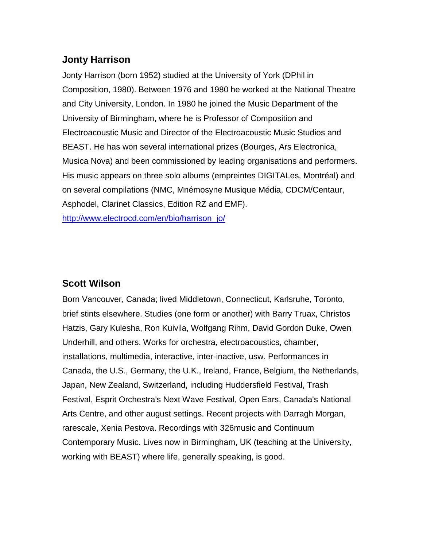#### **Jonty Harrison**

Jonty Harrison (born 1952) studied at the University of York (DPhil in Composition, 1980). Between 1976 and 1980 he worked at the National Theatre and City University, London. In 1980 he joined the Music Department of the University of Birmingham, where he is Professor of Composition and Electroacoustic Music and Director of the Electroacoustic Music Studios and BEAST. He has won several international prizes (Bourges, Ars Electronica, Musica Nova) and been commissioned by leading organisations and performers. His music appears on three solo albums (empreintes DIGITALes, Montréal) and on several compilations (NMC, Mnémosyne Musique Média, CDCM/Centaur, Asphodel, Clarinet Classics, Edition RZ and EMF). [http://www.electrocd.com/en/bio/harrison\\_jo/](http://www.electrocd.com/en/bio/harrison_jo/)

#### **Scott Wilson**

Born Vancouver, Canada; lived Middletown, Connecticut, Karlsruhe, Toronto, brief stints elsewhere. Studies (one form or another) with Barry Truax, Christos Hatzis, Gary Kulesha, Ron Kuivila, Wolfgang Rihm, David Gordon Duke, Owen Underhill, and others. Works for orchestra, electroacoustics, chamber, installations, multimedia, interactive, inter-inactive, usw. Performances in Canada, the U.S., Germany, the U.K., Ireland, France, Belgium, the Netherlands, Japan, New Zealand, Switzerland, including Huddersfield Festival, Trash Festival, Esprit Orchestra's Next Wave Festival, Open Ears, Canada's National Arts Centre, and other august settings. Recent projects with Darragh Morgan, rarescale, Xenia Pestova. Recordings with 326music and Continuum Contemporary Music. Lives now in Birmingham, UK (teaching at the University, working with BEAST) where life, generally speaking, is good.